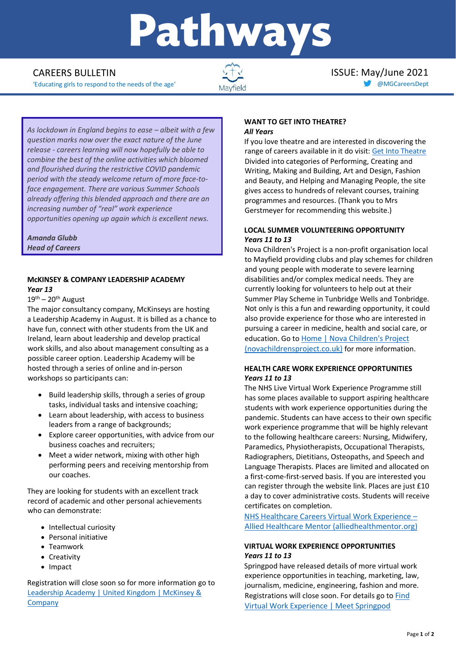# Pathways

'Educating girls to respond to the needs of the age' [@MGCareersDept](https://twitter.com/MGCareersDept)



CAREERS BULLETIN  $\sqrt{+}$  is a set of the set of the SSUE: May/June 2021

*As lockdown in England begins to ease – albeit with a few question marks now over the exact nature of the June release - careers learning will now hopefully be able to combine the best of the online activities which bloomed and flourished during the restrictive COVID pandemic period with the steady welcome return of more face-toface engagement. There are various Summer Schools already offering this blended approach and there are an increasing number of "real" work experience opportunities opening up again which is excellent news.* 

*Amanda Glubb Head of Careers*

# **McKINSEY & COMPANY LEADERSHIP ACADEMY** *Year 13*

 $19<sup>th</sup> - 20<sup>th</sup>$  August

The major consultancy company, McKinseys are hosting a Leadership Academy in August. It is billed as a chance to have fun, connect with other students from the UK and Ireland, learn about leadership and develop practical work skills, and also about management consulting as a possible career option. Leadership Academy will be hosted through a series of online and in-person workshops so participants can:

- Build leadership skills, through a series of group tasks, individual tasks and intensive coaching;
- Learn about leadership, with access to business leaders from a range of backgrounds;
- Explore career opportunities, with advice from our business coaches and recruiters;
- Meet a wider network, mixing with other high performing peers and receiving mentorship from our coaches.

They are looking for students with an excellent track record of academic and other personal achievements who can demonstrate:

- Intellectual curiosity
- Personal initiative
- Teamwork
- Creativity
- Impact

Registration will close soon so for more information go to [Leadership Academy | United Kingdom | McKinsey &](https://www.mckinsey.com/uk/careers/leadership-academy)  **[Company](https://www.mckinsey.com/uk/careers/leadership-academy)** 

# **WANT TO GET INTO THEATRE?** *All Years*

If you love theatre and are interested in discovering the range of careers available in it do visit[: Get Into Theatre](https://getintotheatre.org/) Divided into categories of Performing, Creating and Writing, Making and Building, Art and Design, Fashion and Beauty, and Helping and Managing People, the site gives access to hundreds of relevant courses, training programmes and resources. (Thank you to Mrs Gerstmeyer for recommending this website.)

# **LOCAL SUMMER VOLUNTEERING OPPORTUNITY** *Years 11 to 13*

Nova Children's Project is a non-profit organisation local to Mayfield providing clubs and play schemes for children and young people with moderate to severe learning disabilities and/or complex medical needs. They are currently looking for volunteers to help out at their Summer Play Scheme in Tunbridge Wells and Tonbridge. Not only is this a fun and rewarding opportunity, it could also provide experience for those who are interested in pursuing a career in medicine, health and social care, or education. Go to [Home | Nova Children's Project](https://www.novachildrensproject.co.uk/)  [\(novachildrensproject.co.uk\)](https://www.novachildrensproject.co.uk/) for more information.

# **HEALTH CARE WORK EXPERIENCE OPPORTUNITIES** *Years 11 to 13*

The NHS Live Virtual Work Experience Programme still has some places available to support aspiring healthcare students with work experience opportunities during the pandemic. Students can have access to their own specific work experience programme that will be highly relevant to the following healthcare careers: Nursing, Midwifery, Paramedics, Physiotherapists, Occupational Therapists, Radiographers, Dietitians, Osteopaths, and Speech and Language Therapists. Places are limited and allocated on a first-come-first-served basis. If you are interested you can register through the website link. Places are just £10 a day to cover administrative costs. Students will receive certificates on completion.

[NHS Healthcare Careers Virtual Work Experience](https://alliedhealthmentor.org/nhs-healthcare-careers-virtual-work-experience/) – [Allied Healthcare Mentor \(alliedhealthmentor.org\)](https://alliedhealthmentor.org/nhs-healthcare-careers-virtual-work-experience/)

# **VIRTUAL WORK EXPERIENCE OPPORTUNITIES** *Years 11 to 13*

Springpod have released details of more virtual work experience opportunities in teaching, marketing, law, journalism, medicine, engineering, fashion and more. Registrations will close soon. For details go to **Find** [Virtual Work Experience | Meet Springpod](https://www.springpod.co.uk/virtual-work-experience-programmes?utm_medium=email&utm_source=mixpanel&utm_campaign=teachernewsletter_11_03_21)